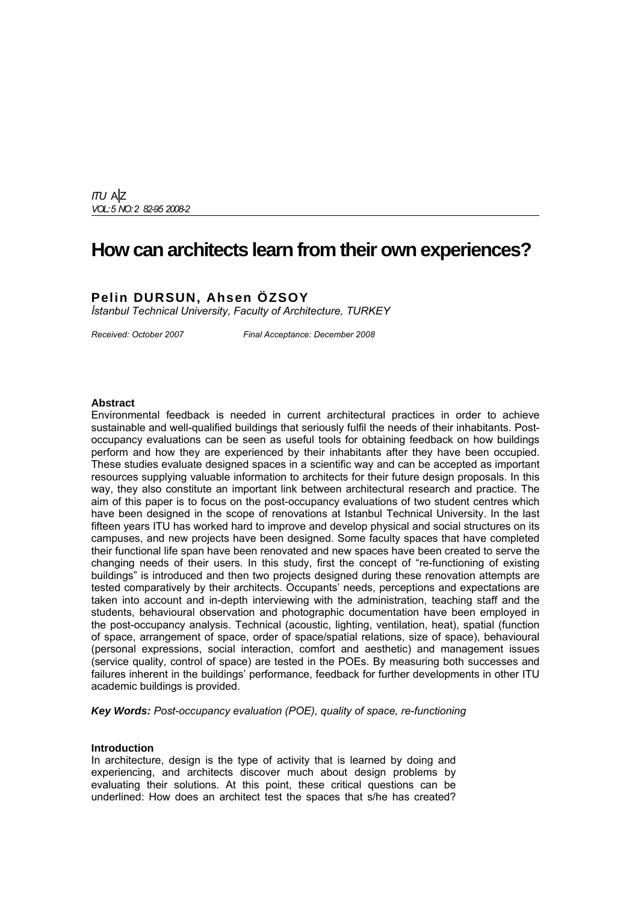*ITU* A|Z *VOL:5 NO: 2 82-95 2008-2*

## **How can architects learn from their own experiences?**

### **Pelin DURSUN, Ahsen ÖZSOY**

*İstanbul Technical University, Faculty of Architecture, TURKEY* 

*Received: October 2007 Final Acceptance: December 2008*

#### **Abstract**

Environmental feedback is needed in current architectural practices in order to achieve sustainable and well-qualified buildings that seriously fulfil the needs of their inhabitants. Postoccupancy evaluations can be seen as useful tools for obtaining feedback on how buildings perform and how they are experienced by their inhabitants after they have been occupied. These studies evaluate designed spaces in a scientific way and can be accepted as important resources supplying valuable information to architects for their future design proposals. In this way, they also constitute an important link between architectural research and practice. The aim of this paper is to focus on the post-occupancy evaluations of two student centres which have been designed in the scope of renovations at Istanbul Technical University. In the last fifteen years ITU has worked hard to improve and develop physical and social structures on its campuses, and new projects have been designed. Some faculty spaces that have completed their functional life span have been renovated and new spaces have been created to serve the changing needs of their users. In this study, first the concept of "re-functioning of existing buildings" is introduced and then two projects designed during these renovation attempts are tested comparatively by their architects. Occupants' needs, perceptions and expectations are taken into account and in-depth interviewing with the administration, teaching staff and the students, behavioural observation and photographic documentation have been employed in the post-occupancy analysis. Technical (acoustic, lighting, ventilation, heat), spatial (function of space, arrangement of space, order of space/spatial relations, size of space), behavioural (personal expressions, social interaction, comfort and aesthetic) and management issues (service quality, control of space) are tested in the POEs. By measuring both successes and failures inherent in the buildings' performance, feedback for further developments in other ITU academic buildings is provided.

*Key Words: Post-occupancy evaluation (POE), quality of space, re-functioning* 

#### **Introduction**

In architecture, design is the type of activity that is learned by doing and experiencing, and architects discover much about design problems by evaluating their solutions. At this point, these critical questions can be underlined: How does an architect test the spaces that s/he has created?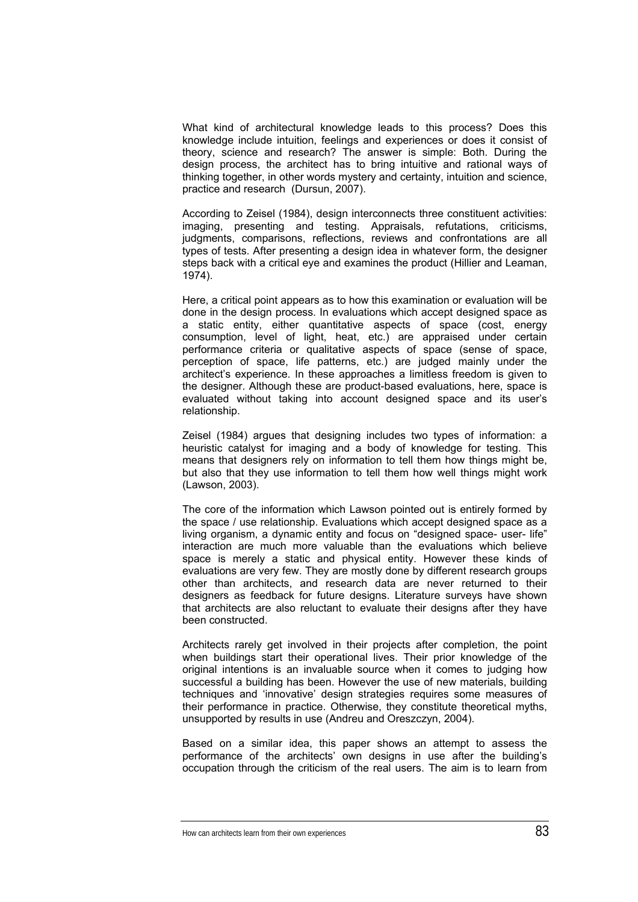What kind of architectural knowledge leads to this process? Does this knowledge include intuition, feelings and experiences or does it consist of theory, science and research? The answer is simple: Both. During the design process, the architect has to bring intuitive and rational ways of thinking together, in other words mystery and certainty, intuition and science, practice and research (Dursun, 2007).

According to Zeisel (1984), design interconnects three constituent activities: imaging, presenting and testing. Appraisals, refutations, criticisms, judgments, comparisons, reflections, reviews and confrontations are all types of tests. After presenting a design idea in whatever form, the designer steps back with a critical eye and examines the product (Hillier and Leaman, 1974).

Here, a critical point appears as to how this examination or evaluation will be done in the design process. In evaluations which accept designed space as a static entity, either quantitative aspects of space (cost, energy consumption, level of light, heat, etc.) are appraised under certain performance criteria or qualitative aspects of space (sense of space, perception of space, life patterns, etc.) are judged mainly under the architect's experience. In these approaches a limitless freedom is given to the designer. Although these are product-based evaluations, here, space is evaluated without taking into account designed space and its user's relationship.

Zeisel (1984) argues that designing includes two types of information: a heuristic catalyst for imaging and a body of knowledge for testing. This means that designers rely on information to tell them how things might be, but also that they use information to tell them how well things might work (Lawson, 2003).

The core of the information which Lawson pointed out is entirely formed by the space / use relationship. Evaluations which accept designed space as a living organism, a dynamic entity and focus on "designed space- user- life" interaction are much more valuable than the evaluations which believe space is merely a static and physical entity. However these kinds of evaluations are very few. They are mostly done by different research groups other than architects, and research data are never returned to their designers as feedback for future designs. Literature surveys have shown that architects are also reluctant to evaluate their designs after they have been constructed.

Architects rarely get involved in their projects after completion, the point when buildings start their operational lives. Their prior knowledge of the original intentions is an invaluable source when it comes to judging how successful a building has been. However the use of new materials, building techniques and 'innovative' design strategies requires some measures of their performance in practice. Otherwise, they constitute theoretical myths, unsupported by results in use (Andreu and Oreszczyn, 2004).

Based on a similar idea, this paper shows an attempt to assess the performance of the architects' own designs in use after the building's occupation through the criticism of the real users. The aim is to learn from

How can architects learn from their own experiences83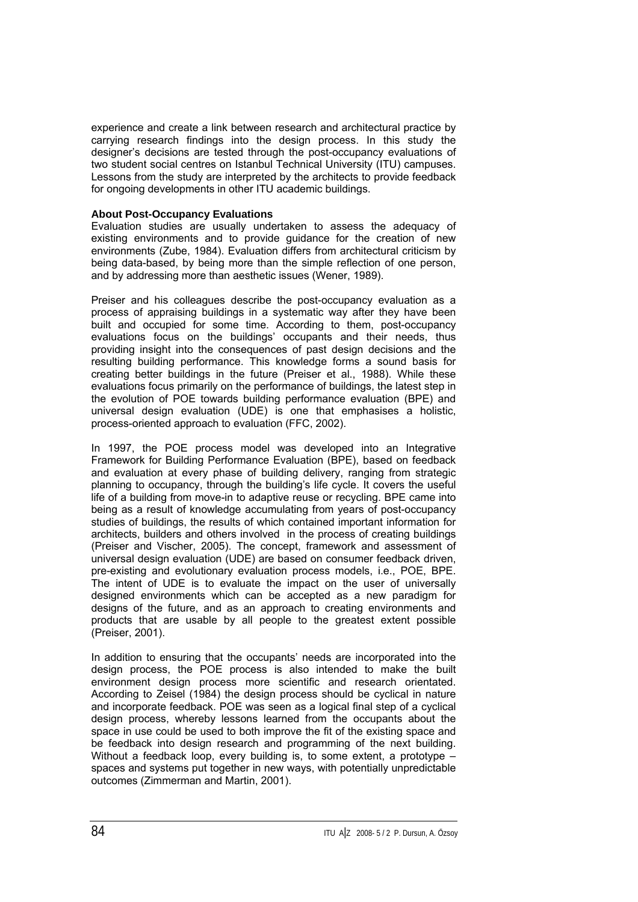experience and create a link between research and architectural practice by carrying research findings into the design process. In this study the designer's decisions are tested through the post-occupancy evaluations of two student social centres on Istanbul Technical University (ITU) campuses. Lessons from the study are interpreted by the architects to provide feedback for ongoing developments in other ITU academic buildings.

#### **About Post-Occupancy Evaluations**

Evaluation studies are usually undertaken to assess the adequacy of existing environments and to provide guidance for the creation of new environments (Zube, 1984). Evaluation differs from architectural criticism by being data-based, by being more than the simple reflection of one person, and by addressing more than aesthetic issues (Wener, 1989).

Preiser and his colleagues describe the post-occupancy evaluation as a process of appraising buildings in a systematic way after they have been built and occupied for some time. According to them, post-occupancy evaluations focus on the buildings' occupants and their needs, thus providing insight into the consequences of past design decisions and the resulting building performance. This knowledge forms a sound basis for creating better buildings in the future (Preiser et al., 1988). While these evaluations focus primarily on the performance of buildings, the latest step in the evolution of POE towards building performance evaluation (BPE) and universal design evaluation (UDE) is one that emphasises a holistic, process-oriented approach to evaluation (FFC, 2002).

In 1997, the POE process model was developed into an Integrative Framework for Building Performance Evaluation (BPE), based on feedback and evaluation at every phase of building delivery, ranging from strategic planning to occupancy, through the building's life cycle. It covers the useful life of a building from move-in to adaptive reuse or recycling. BPE came into being as a result of knowledge accumulating from years of post-occupancy studies of buildings, the results of which contained important information for architects, builders and others involved in the process of creating buildings (Preiser and Vischer, 2005). The concept, framework and assessment of universal design evaluation (UDE) are based on consumer feedback driven, pre-existing and evolutionary evaluation process models, i.e., POE, BPE. The intent of UDE is to evaluate the impact on the user of universally designed environments which can be accepted as a new paradigm for designs of the future, and as an approach to creating environments and products that are usable by all people to the greatest extent possible (Preiser, 2001).

In addition to ensuring that the occupants' needs are incorporated into the design process, the POE process is also intended to make the built environment design process more scientific and research orientated. According to Zeisel (1984) the design process should be cyclical in nature and incorporate feedback. POE was seen as a logical final step of a cyclical design process, whereby lessons learned from the occupants about the space in use could be used to both improve the fit of the existing space and be feedback into design research and programming of the next building. Without a feedback loop, every building is, to some extent, a prototype – spaces and systems put together in new ways, with potentially unpredictable outcomes (Zimmerman and Martin, 2001).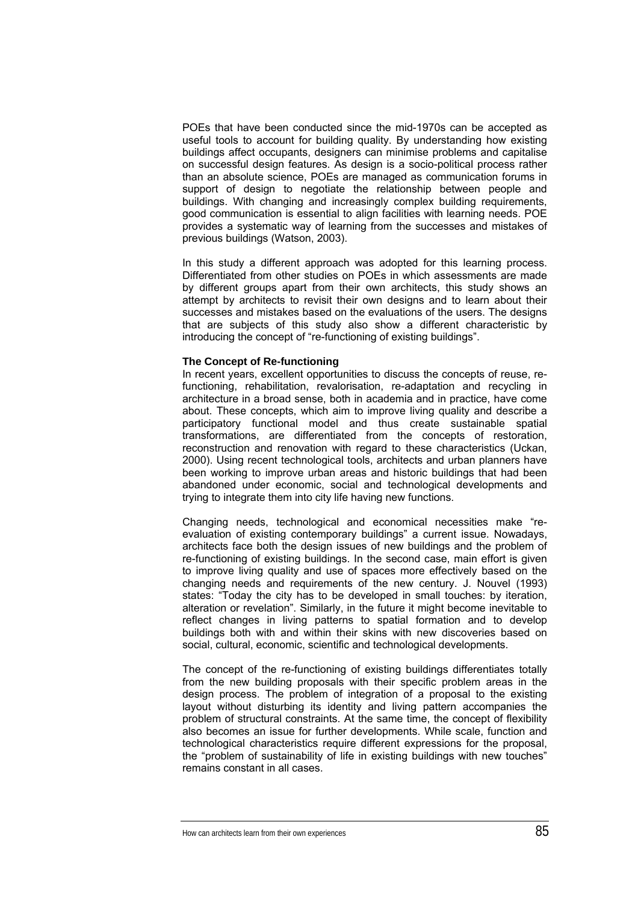POEs that have been conducted since the mid-1970s can be accepted as useful tools to account for building quality. By understanding how existing buildings affect occupants, designers can minimise problems and capitalise on successful design features. As design is a socio-political process rather than an absolute science, POEs are managed as communication forums in support of design to negotiate the relationship between people and buildings. With changing and increasingly complex building requirements, good communication is essential to align facilities with learning needs. POE provides a systematic way of learning from the successes and mistakes of previous buildings (Watson, 2003).

In this study a different approach was adopted for this learning process. Differentiated from other studies on POEs in which assessments are made by different groups apart from their own architects, this study shows an attempt by architects to revisit their own designs and to learn about their successes and mistakes based on the evaluations of the users. The designs that are subjects of this study also show a different characteristic by introducing the concept of "re-functioning of existing buildings".

#### **The Concept of Re-functioning**

In recent years, excellent opportunities to discuss the concepts of reuse, refunctioning, rehabilitation, revalorisation, re-adaptation and recycling in architecture in a broad sense, both in academia and in practice, have come about. These concepts, which aim to improve living quality and describe a participatory functional model and thus create sustainable spatial transformations, are differentiated from the concepts of restoration, reconstruction and renovation with regard to these characteristics (Uckan, 2000). Using recent technological tools, architects and urban planners have been working to improve urban areas and historic buildings that had been abandoned under economic, social and technological developments and trying to integrate them into city life having new functions.

Changing needs, technological and economical necessities make "reevaluation of existing contemporary buildings" a current issue. Nowadays, architects face both the design issues of new buildings and the problem of re-functioning of existing buildings. In the second case, main effort is given to improve living quality and use of spaces more effectively based on the changing needs and requirements of the new century. J. Nouvel (1993) states: "Today the city has to be developed in small touches: by iteration, alteration or revelation". Similarly, in the future it might become inevitable to reflect changes in living patterns to spatial formation and to develop buildings both with and within their skins with new discoveries based on social, cultural, economic, scientific and technological developments.

The concept of the re-functioning of existing buildings differentiates totally from the new building proposals with their specific problem areas in the design process. The problem of integration of a proposal to the existing layout without disturbing its identity and living pattern accompanies the problem of structural constraints. At the same time, the concept of flexibility also becomes an issue for further developments. While scale, function and technological characteristics require different expressions for the proposal, the "problem of sustainability of life in existing buildings with new touches" remains constant in all cases.

How can architects learn from their own experiences85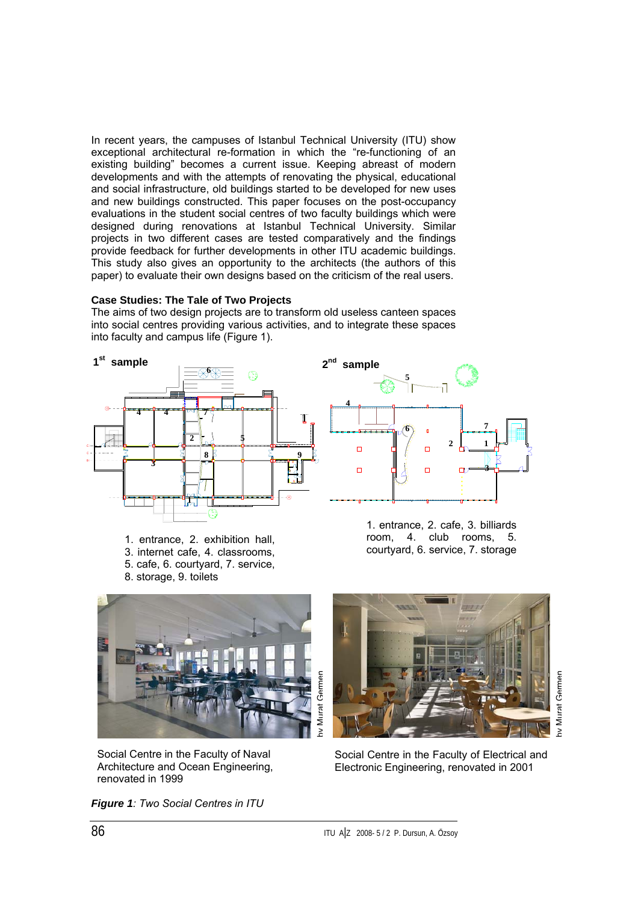In recent years, the campuses of Istanbul Technical University (ITU) show exceptional architectural re-formation in which the "re-functioning of an existing building" becomes a current issue. Keeping abreast of modern developments and with the attempts of renovating the physical, educational and social infrastructure, old buildings started to be developed for new uses and new buildings constructed. This paper focuses on the post-occupancy evaluations in the student social centres of two faculty buildings which were designed during renovations at Istanbul Technical University. Similar projects in two different cases are tested comparatively and the findings provide feedback for further developments in other ITU academic buildings. This study also gives an opportunity to the architects (the authors of this paper) to evaluate their own designs based on the criticism of the real users.

#### **Case Studies: The Tale of Two Projects**

The aims of two design projects are to transform old useless canteen spaces into social centres providing various activities, and to integrate these spaces into faculty and campus life (Figure 1).



1. entrance, 2. exhibition hall, 3. internet cafe, 4. classrooms, 5. cafe, 6. courtyard, 7. service, 8. storage, 9. toilets



1. entrance, 2. cafe, 3. billiards room, 4. club rooms, 5. courtyard, 6. service, 7. storage



Social Centre in the Faculty of Naval Architecture and Ocean Engineering, renovated in 1999

*Figure 1: Two Social Centres in ITU* 



by Murat Germen

Social Centre in the Faculty of Electrical and Electronic Engineering, renovated in 2001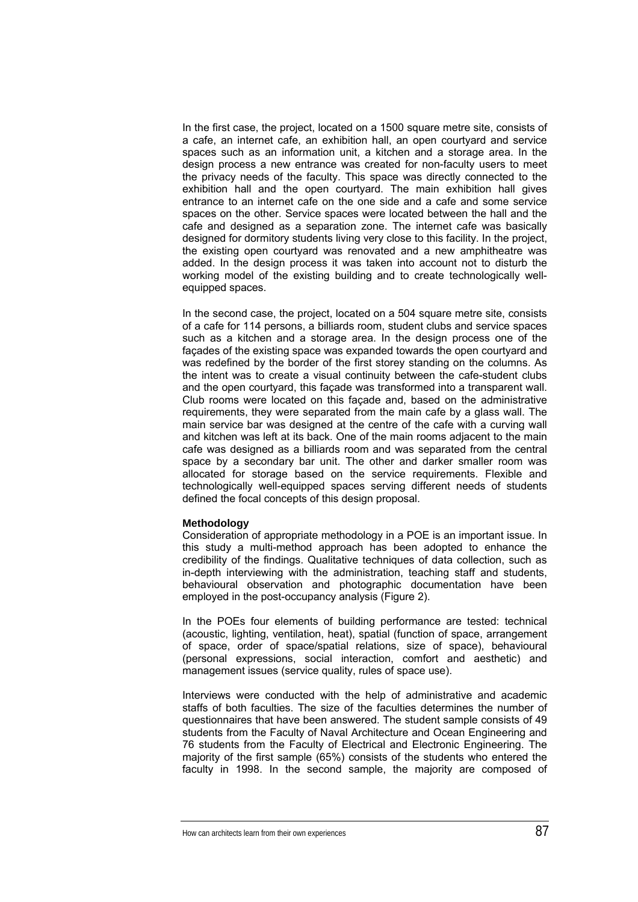In the first case, the project, located on a 1500 square metre site, consists of a cafe, an internet cafe, an exhibition hall, an open courtyard and service spaces such as an information unit, a kitchen and a storage area. In the design process a new entrance was created for non-faculty users to meet the privacy needs of the faculty. This space was directly connected to the exhibition hall and the open courtyard. The main exhibition hall gives entrance to an internet cafe on the one side and a cafe and some service spaces on the other. Service spaces were located between the hall and the cafe and designed as a separation zone. The internet cafe was basically designed for dormitory students living very close to this facility. In the project, the existing open courtyard was renovated and a new amphitheatre was added. In the design process it was taken into account not to disturb the working model of the existing building and to create technologically wellequipped spaces.

In the second case, the project, located on a 504 square metre site, consists of a cafe for 114 persons, a billiards room, student clubs and service spaces such as a kitchen and a storage area. In the design process one of the façades of the existing space was expanded towards the open courtyard and was redefined by the border of the first storey standing on the columns. As the intent was to create a visual continuity between the cafe-student clubs and the open courtyard, this façade was transformed into a transparent wall. Club rooms were located on this façade and, based on the administrative requirements, they were separated from the main cafe by a glass wall. The main service bar was designed at the centre of the cafe with a curving wall and kitchen was left at its back. One of the main rooms adjacent to the main cafe was designed as a billiards room and was separated from the central space by a secondary bar unit. The other and darker smaller room was allocated for storage based on the service requirements. Flexible and technologically well-equipped spaces serving different needs of students defined the focal concepts of this design proposal.

#### **Methodology**

Consideration of appropriate methodology in a POE is an important issue. In this study a multi-method approach has been adopted to enhance the credibility of the findings. Qualitative techniques of data collection, such as in-depth interviewing with the administration, teaching staff and students, behavioural observation and photographic documentation have been employed in the post-occupancy analysis (Figure 2).

In the POEs four elements of building performance are tested: technical (acoustic, lighting, ventilation, heat), spatial (function of space, arrangement of space, order of space/spatial relations, size of space), behavioural (personal expressions, social interaction, comfort and aesthetic) and management issues (service quality, rules of space use).

Interviews were conducted with the help of administrative and academic staffs of both faculties. The size of the faculties determines the number of questionnaires that have been answered. The student sample consists of 49 students from the Faculty of Naval Architecture and Ocean Engineering and 76 students from the Faculty of Electrical and Electronic Engineering. The majority of the first sample (65%) consists of the students who entered the faculty in 1998. In the second sample, the majority are composed of

How can architects learn from their own experiences87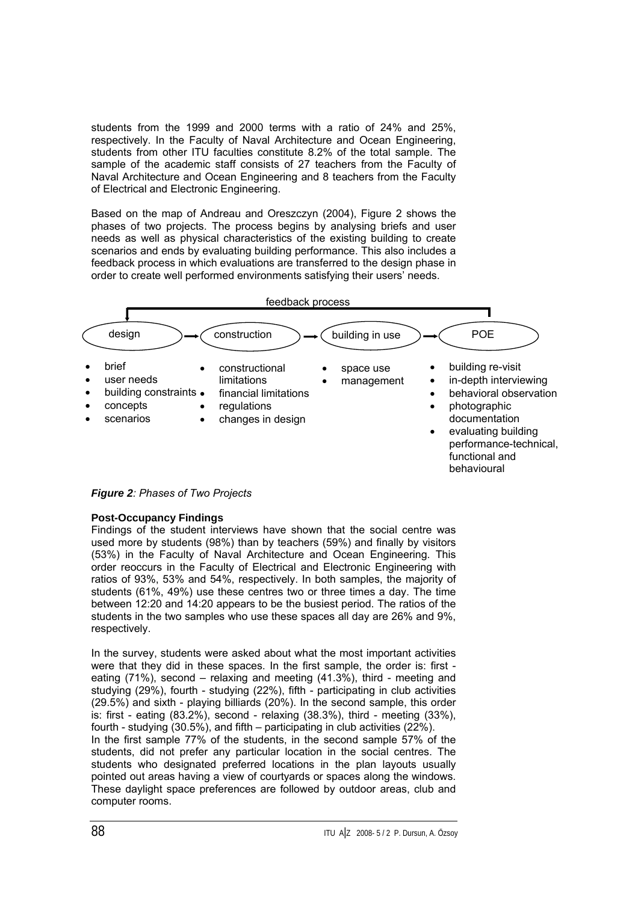students from the 1999 and 2000 terms with a ratio of 24% and 25%, respectively. In the Faculty of Naval Architecture and Ocean Engineering, students from other ITU faculties constitute 8.2% of the total sample. The sample of the academic staff consists of 27 teachers from the Faculty of Naval Architecture and Ocean Engineering and 8 teachers from the Faculty of Electrical and Electronic Engineering.

Based on the map of Andreau and Oreszczyn (2004), Figure 2 shows the phases of two projects. The process begins by analysing briefs and user needs as well as physical characteristics of the existing building to create scenarios and ends by evaluating building performance. This also includes a feedback process in which evaluations are transferred to the design phase in order to create well performed environments satisfying their users' needs.



*Figure 2: Phases of Two Projects* 

#### **Post-Occupancy Findings**

Findings of the student interviews have shown that the social centre was used more by students (98%) than by teachers (59%) and finally by visitors (53%) in the Faculty of Naval Architecture and Ocean Engineering. This order reoccurs in the Faculty of Electrical and Electronic Engineering with ratios of 93%, 53% and 54%, respectively. In both samples, the majority of students (61%, 49%) use these centres two or three times a day. The time between 12:20 and 14:20 appears to be the busiest period. The ratios of the students in the two samples who use these spaces all day are 26% and 9%, respectively.

In the survey, students were asked about what the most important activities were that they did in these spaces. In the first sample, the order is: first eating (71%), second – relaxing and meeting (41.3%), third - meeting and studying (29%), fourth - studying (22%), fifth - participating in club activities (29.5%) and sixth - playing billiards (20%). In the second sample, this order is: first - eating (83.2%), second - relaxing (38.3%), third - meeting (33%), fourth - studying (30.5%), and fifth – participating in club activities (22%).

In the first sample 77% of the students, in the second sample 57% of the students, did not prefer any particular location in the social centres. The students who designated preferred locations in the plan layouts usually pointed out areas having a view of courtyards or spaces along the windows. These daylight space preferences are followed by outdoor areas, club and computer rooms.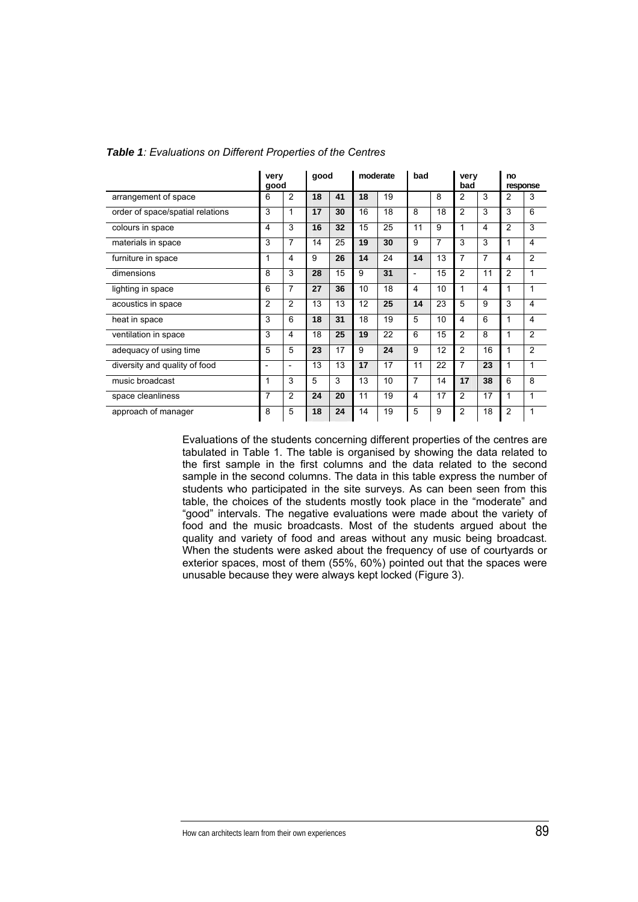|                                  | very<br>good             | good                     |    | moderate |    | bad |                          | very<br>bad |                | no<br>response |                |                         |
|----------------------------------|--------------------------|--------------------------|----|----------|----|-----|--------------------------|-------------|----------------|----------------|----------------|-------------------------|
| arrangement of space             | 6                        | $\overline{c}$           | 18 | 41       | 18 | 19  |                          | 8           | 2              | 3              | 2              | 3                       |
| order of space/spatial relations | 3                        | 1                        | 17 | 30       | 16 | 18  | 8                        | 18          | $\overline{2}$ | 3              | 3              | 6                       |
| colours in space                 | 4                        | 3                        | 16 | 32       | 15 | 25  | 11                       | 9           | 1              | 4              | $\overline{2}$ | 3                       |
| materials in space               | 3                        | 7                        | 14 | 25       | 19 | 30  | 9                        | 7           | 3              | 3              | 1              | 4                       |
| furniture in space               | 1                        | 4                        | 9  | 26       | 14 | 24  | 14                       | 13          | $\overline{7}$ | 7              | 4              | $\overline{2}$          |
| dimensions                       | 8                        | 3                        | 28 | 15       | 9  | 31  | $\overline{\phantom{a}}$ | 15          | 2              | 11             | 2              | 1                       |
| lighting in space                | 6                        | 7                        | 27 | 36       | 10 | 18  | 4                        | 10          | $\mathbf{1}$   | 4              | 1              | 1                       |
| acoustics in space               | $\overline{2}$           | 2                        | 13 | 13       | 12 | 25  | 14                       | 23          | 5              | 9              | 3              | 4                       |
| heat in space                    | 3                        | 6                        | 18 | 31       | 18 | 19  | 5                        | 10          | 4              | 6              | 1              | $\overline{\mathbf{4}}$ |
| ventilation in space             | 3                        | 4                        | 18 | 25       | 19 | 22  | 6                        | 15          | 2              | 8              | 1              | $\overline{2}$          |
| adequacy of using time           | 5                        | 5                        | 23 | 17       | 9  | 24  | 9                        | 12          | $\overline{2}$ | 16             | 1              | $\overline{2}$          |
| diversity and quality of food    | $\overline{\phantom{a}}$ | $\overline{\phantom{0}}$ | 13 | 13       | 17 | 17  | 11                       | 22          | $\overline{7}$ | 23             | 1              | 1                       |
| music broadcast                  | 1                        | 3                        | 5  | 3        | 13 | 10  | $\overline{7}$           | 14          | 17             | 38             | 6              | 8                       |
| space cleanliness                | $\overline{7}$           | $\overline{2}$           | 24 | 20       | 11 | 19  | $\overline{4}$           | 17          | $\overline{2}$ | 17             | 1              | 1                       |
| approach of manager              | 8                        | 5                        | 18 | 24       | 14 | 19  | 5                        | 9           | $\overline{2}$ | 18             | $\overline{2}$ | 1                       |

#### *Table 1: Evaluations on Different Properties of the Centres*

Evaluations of the students concerning different properties of the centres are tabulated in Table 1. The table is organised by showing the data related to the first sample in the first columns and the data related to the second sample in the second columns. The data in this table express the number of students who participated in the site surveys. As can been seen from this table, the choices of the students mostly took place in the "moderate" and "good" intervals. The negative evaluations were made about the variety of food and the music broadcasts. Most of the students argued about the quality and variety of food and areas without any music being broadcast. When the students were asked about the frequency of use of courtyards or exterior spaces, most of them (55%, 60%) pointed out that the spaces were unusable because they were always kept locked (Figure 3).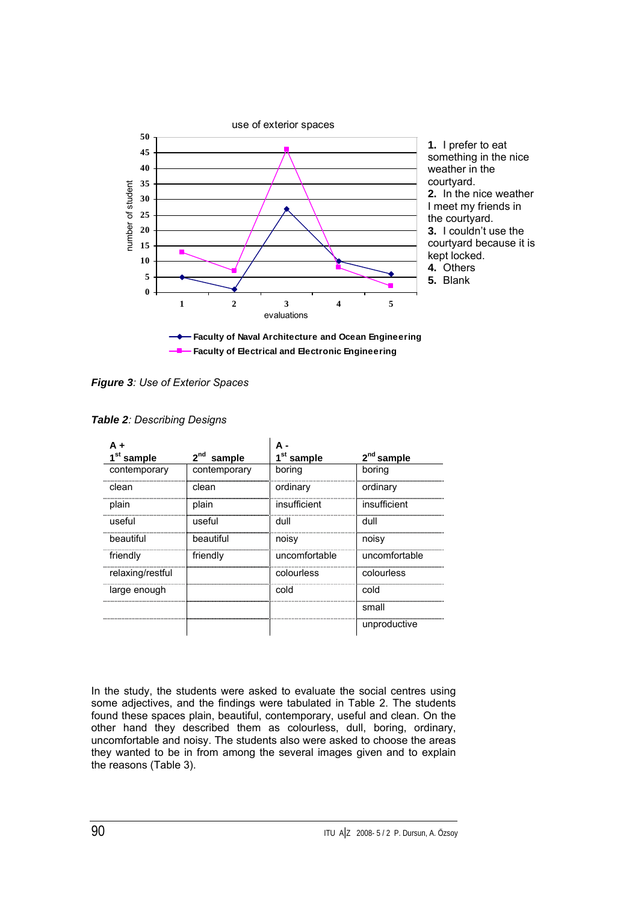

*Figure 3: Use of Exterior Spaces*

|  | <b>Table 2: Describing Designs</b> |  |
|--|------------------------------------|--|
|--|------------------------------------|--|

| 1 <sup>st</sup> sample | sample       | 1 <sup>st</sup> sample | 2 <sup>nd</sup> sample |
|------------------------|--------------|------------------------|------------------------|
| contemporary           | contemporary | boring                 | boring                 |
| clean                  | clean        | ordinary               | ordinary               |
| plain                  | plain        | insufficient           | insufficient           |
| useful                 | useful       | dull                   | dull                   |
| beautiful              | beautiful    | noisy                  | noisy                  |
| friendly               | friendly     | uncomfortable          | uncomfortable          |
| relaxing/restful       |              | colourless             | colourless             |
| large enough           |              | cold                   | cold                   |
|                        |              |                        | small                  |
|                        |              |                        | unproductive           |

In the study, the students were asked to evaluate the social centres using some adjectives, and the findings were tabulated in Table 2. The students found these spaces plain, beautiful, contemporary, useful and clean. On the other hand they described them as colourless, dull, boring, ordinary, uncomfortable and noisy. The students also were asked to choose the areas they wanted to be in from among the several images given and to explain the reasons (Table 3).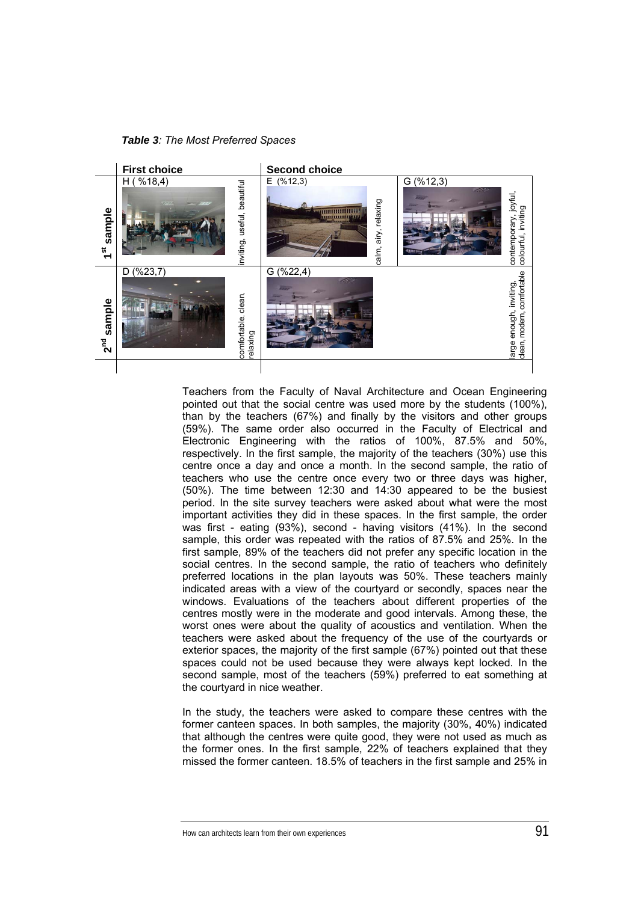*Table 3: The Most Preferred Spaces* 



Teachers from the Faculty of Naval Architecture and Ocean Engineering pointed out that the social centre was used more by the students (100%), than by the teachers (67%) and finally by the visitors and other groups (59%). The same order also occurred in the Faculty of Electrical and Electronic Engineering with the ratios of 100%, 87.5% and 50%, respectively. In the first sample, the majority of the teachers (30%) use this centre once a day and once a month. In the second sample, the ratio of teachers who use the centre once every two or three days was higher, (50%). The time between 12:30 and 14:30 appeared to be the busiest period. In the site survey teachers were asked about what were the most important activities they did in these spaces. In the first sample, the order was first - eating (93%), second - having visitors (41%). In the second sample, this order was repeated with the ratios of 87.5% and 25%. In the first sample, 89% of the teachers did not prefer any specific location in the social centres. In the second sample, the ratio of teachers who definitely preferred locations in the plan layouts was 50%. These teachers mainly indicated areas with a view of the courtyard or secondly, spaces near the windows. Evaluations of the teachers about different properties of the centres mostly were in the moderate and good intervals. Among these, the worst ones were about the quality of acoustics and ventilation. When the teachers were asked about the frequency of the use of the courtyards or exterior spaces, the majority of the first sample (67%) pointed out that these spaces could not be used because they were always kept locked. In the second sample, most of the teachers (59%) preferred to eat something at the courtyard in nice weather.

In the study, the teachers were asked to compare these centres with the former canteen spaces. In both samples, the majority (30%, 40%) indicated that although the centres were quite good, they were not used as much as the former ones. In the first sample, 22% of teachers explained that they missed the former canteen. 18.5% of teachers in the first sample and 25% in

How can architects learn from their own experiences91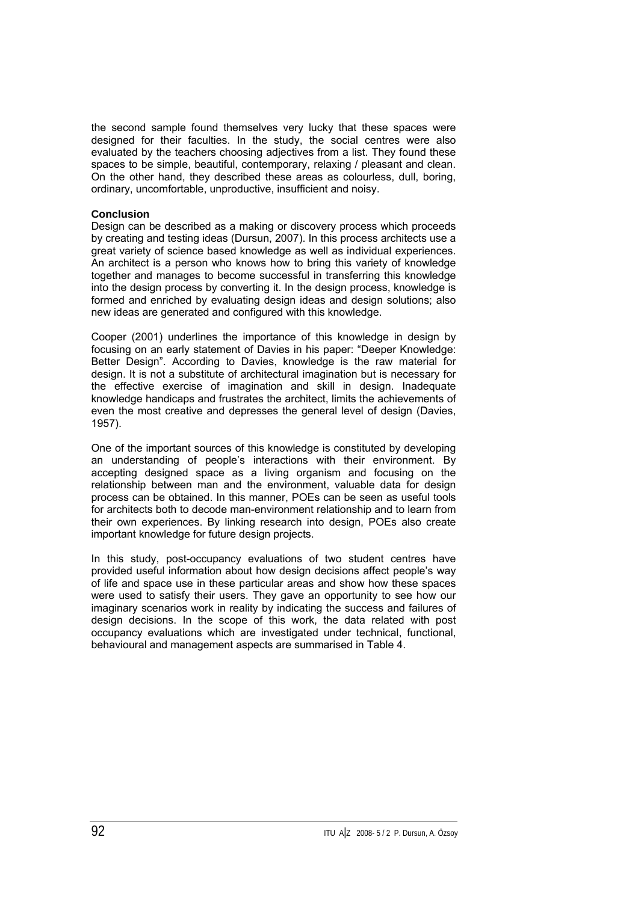the second sample found themselves very lucky that these spaces were designed for their faculties. In the study, the social centres were also evaluated by the teachers choosing adjectives from a list. They found these spaces to be simple, beautiful, contemporary, relaxing / pleasant and clean. On the other hand, they described these areas as colourless, dull, boring, ordinary, uncomfortable, unproductive, insufficient and noisy.

#### **Conclusion**

Design can be described as a making or discovery process which proceeds by creating and testing ideas (Dursun, 2007). In this process architects use a great variety of science based knowledge as well as individual experiences. An architect is a person who knows how to bring this variety of knowledge together and manages to become successful in transferring this knowledge into the design process by converting it. In the design process, knowledge is formed and enriched by evaluating design ideas and design solutions; also new ideas are generated and configured with this knowledge.

Cooper (2001) underlines the importance of this knowledge in design by focusing on an early statement of Davies in his paper: "Deeper Knowledge: Better Design". According to Davies, knowledge is the raw material for design. It is not a substitute of architectural imagination but is necessary for the effective exercise of imagination and skill in design. Inadequate knowledge handicaps and frustrates the architect, limits the achievements of even the most creative and depresses the general level of design (Davies, 1957).

One of the important sources of this knowledge is constituted by developing an understanding of people's interactions with their environment. By accepting designed space as a living organism and focusing on the relationship between man and the environment, valuable data for design process can be obtained. In this manner, POEs can be seen as useful tools for architects both to decode man-environment relationship and to learn from their own experiences. By linking research into design, POEs also create important knowledge for future design projects.

In this study, post-occupancy evaluations of two student centres have provided useful information about how design decisions affect people's way of life and space use in these particular areas and show how these spaces were used to satisfy their users. They gave an opportunity to see how our imaginary scenarios work in reality by indicating the success and failures of design decisions. In the scope of this work, the data related with post occupancy evaluations which are investigated under technical, functional, behavioural and management aspects are summarised in Table 4.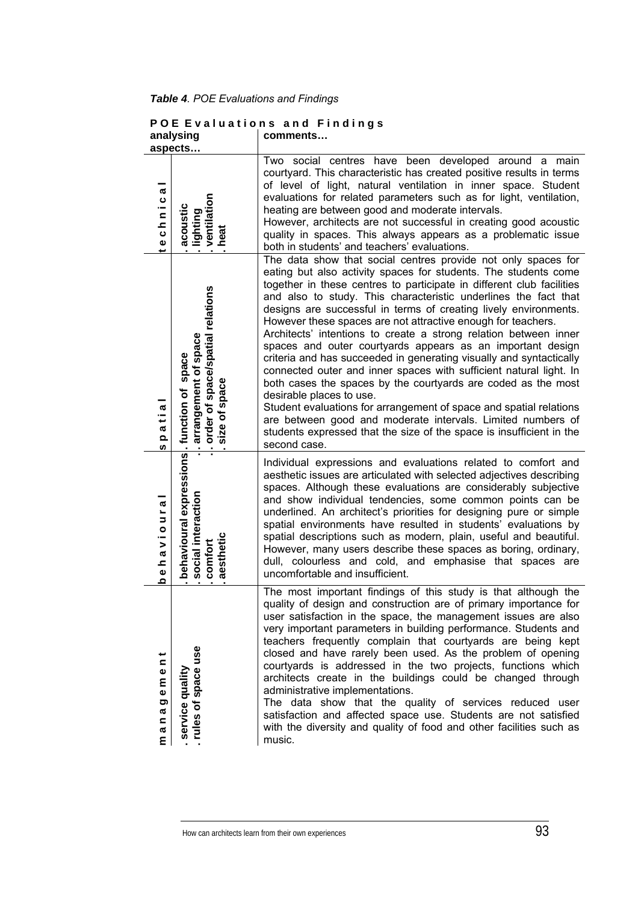*Table 4. POE Evaluations and Findings* 

|                                                                                                         | analysıng<br>aspects                                                                                          | comments                                                                                                                                                                                                                                                                                                                                                                                                                                                                                                                                                                                                                                                                                                                                                                                                                                                                                                                                                                                                                  |
|---------------------------------------------------------------------------------------------------------|---------------------------------------------------------------------------------------------------------------|---------------------------------------------------------------------------------------------------------------------------------------------------------------------------------------------------------------------------------------------------------------------------------------------------------------------------------------------------------------------------------------------------------------------------------------------------------------------------------------------------------------------------------------------------------------------------------------------------------------------------------------------------------------------------------------------------------------------------------------------------------------------------------------------------------------------------------------------------------------------------------------------------------------------------------------------------------------------------------------------------------------------------|
| æ<br>ပ<br>$\overline{a}$<br><u>~</u><br>$\mathbf{o}$<br>Ф                                               | ventilation<br>heat<br>acoustic<br>lighting                                                                   | Two social centres have been developed around a main<br>courtyard. This characteristic has created positive results in terms<br>of level of light, natural ventilation in inner space. Student<br>evaluations for related parameters such as for light, ventilation,<br>heating are between good and moderate intervals.<br>However, architects are not successful in creating good acoustic<br>quality in spaces. This always appears as a problematic issue<br>both in students' and teachers' evaluations.                                                                                                                                                                                                                                                                                                                                                                                                                                                                                                             |
| ℼ<br>ب<br>a<br>$\Omega$<br>w                                                                            | arrangement of space<br>order of space/spatial relations<br>size of space<br>space<br>of space<br>function of | The data show that social centres provide not only spaces for<br>eating but also activity spaces for students. The students come<br>together in these centres to participate in different club facilities<br>and also to study. This characteristic underlines the fact that<br>designs are successful in terms of creating lively environments.<br>However these spaces are not attractive enough for teachers.<br>Architects' intentions to create a strong relation between inner<br>spaces and outer courtyards appears as an important design<br>criteria and has succeeded in generating visually and syntactically<br>connected outer and inner spaces with sufficient natural light. In<br>both cases the spaces by the courtyards are coded as the most<br>desirable places to use.<br>Student evaluations for arrangement of space and spatial relations<br>are between good and moderate intervals. Limited numbers of<br>students expressed that the size of the space is insufficient in the<br>second case. |
| æ<br>r,<br>$\overline{\phantom{a}}$<br>$\circ$<br>$\geq$<br>$\boldsymbol{\sigma}$<br><u>고</u><br>Ф<br>ء | behavioural expressions<br>. social interaction<br>. comfort<br>. aesthetic                                   | Individual expressions and evaluations related to comfort and<br>aesthetic issues are articulated with selected adjectives describing<br>spaces. Although these evaluations are considerably subjective<br>and show individual tendencies, some common points can be<br>underlined. An architect's priorities for designing pure or simple<br>spatial environments have resulted in students' evaluations by<br>spatial descriptions such as modern, plain, useful and beautiful.<br>However, many users describe these spaces as boring, ordinary,<br>dull, colourless and cold, and emphasise that spaces are<br>uncomfortable and insufficient.                                                                                                                                                                                                                                                                                                                                                                        |
| پ<br>$\mathbf{C}$<br>$\mathbf 0$<br>Ε<br>Ф<br>ත<br>æ<br>$\mathbf{C}$<br>ø<br>Ε                          | rules of space use<br>service quality                                                                         | The most important findings of this study is that although the<br>quality of design and construction are of primary importance for<br>user satisfaction in the space, the management issues are also<br>very important parameters in building performance. Students and<br>teachers frequently complain that courtyards are being kept<br>closed and have rarely been used. As the problem of opening<br>courtyards is addressed in the two projects, functions which<br>architects create in the buildings could be changed through<br>administrative implementations.<br>The data show that the quality of services reduced user<br>satisfaction and affected space use. Students are not satisfied<br>with the diversity and quality of food and other facilities such as<br>music.                                                                                                                                                                                                                                    |

# **P O E E v a l u a t i o n s a n d F i n d i n g s analysing comments…**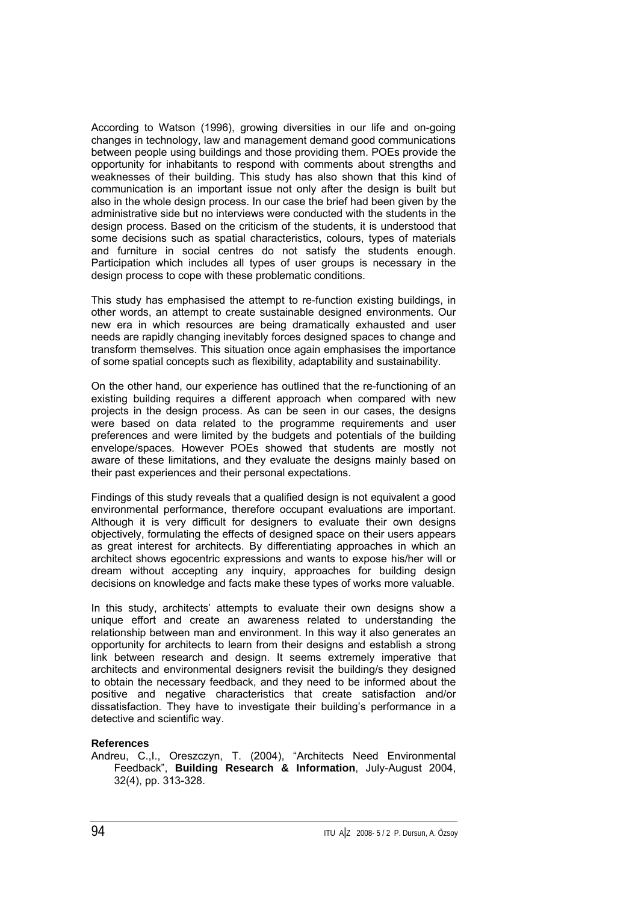According to Watson (1996), growing diversities in our life and on-going changes in technology, law and management demand good communications between people using buildings and those providing them. POEs provide the opportunity for inhabitants to respond with comments about strengths and weaknesses of their building. This study has also shown that this kind of communication is an important issue not only after the design is built but also in the whole design process. In our case the brief had been given by the administrative side but no interviews were conducted with the students in the design process. Based on the criticism of the students, it is understood that some decisions such as spatial characteristics, colours, types of materials and furniture in social centres do not satisfy the students enough. Participation which includes all types of user groups is necessary in the design process to cope with these problematic conditions.

This study has emphasised the attempt to re-function existing buildings, in other words, an attempt to create sustainable designed environments. Our new era in which resources are being dramatically exhausted and user needs are rapidly changing inevitably forces designed spaces to change and transform themselves. This situation once again emphasises the importance of some spatial concepts such as flexibility, adaptability and sustainability.

On the other hand, our experience has outlined that the re-functioning of an existing building requires a different approach when compared with new projects in the design process. As can be seen in our cases, the designs were based on data related to the programme requirements and user preferences and were limited by the budgets and potentials of the building envelope/spaces. However POEs showed that students are mostly not aware of these limitations, and they evaluate the designs mainly based on their past experiences and their personal expectations.

Findings of this study reveals that a qualified design is not equivalent a good environmental performance, therefore occupant evaluations are important. Although it is very difficult for designers to evaluate their own designs objectively, formulating the effects of designed space on their users appears as great interest for architects. By differentiating approaches in which an architect shows egocentric expressions and wants to expose his/her will or dream without accepting any inquiry, approaches for building design decisions on knowledge and facts make these types of works more valuable.

In this study, architects' attempts to evaluate their own designs show a unique effort and create an awareness related to understanding the relationship between man and environment. In this way it also generates an opportunity for architects to learn from their designs and establish a strong link between research and design. It seems extremely imperative that architects and environmental designers revisit the building/s they designed to obtain the necessary feedback, and they need to be informed about the positive and negative characteristics that create satisfaction and/or dissatisfaction. They have to investigate their building's performance in a detective and scientific way.

#### **References**

Andreu, C.,I., Oreszczyn, T. (2004), "Architects Need Environmental Feedback", **Building Research & Information**, July-August 2004, 32(4), pp. 313-328.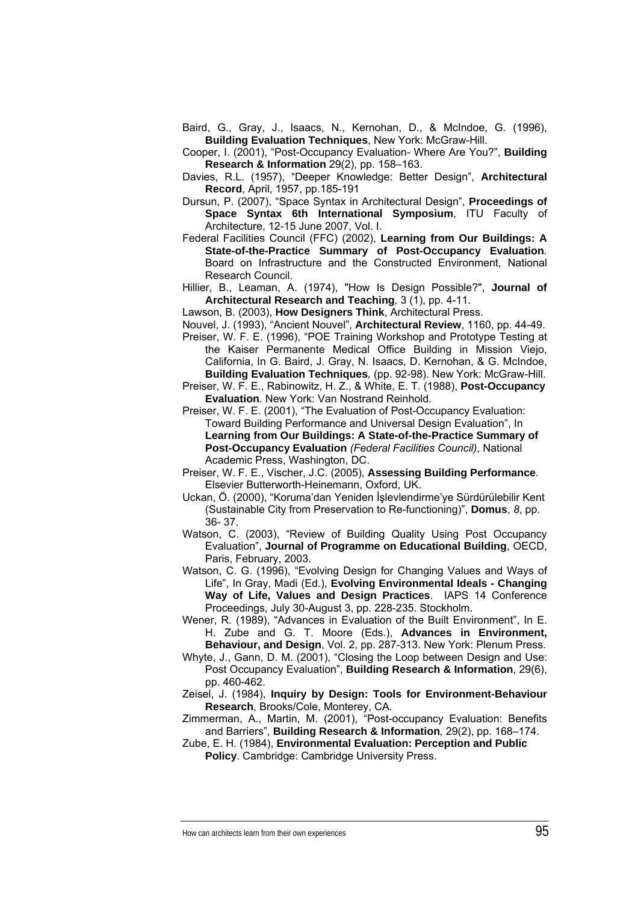- Baird, G., Gray, J., Isaacs, N., Kernohan, D., & McIndoe, G. (1996), **Building Evaluation Techniques**, New York: McGraw-Hill.
- Cooper, I. (2001), "Post-Occupancy Evaluation- Where Are You?", **Building Research & Information** 29(2), pp. 158–163.
- Davies, R.L. (1957), "Deeper Knowledge: Better Design", **Architectural Record**, April, 1957, pp.185-191
- Dursun, P. (2007), "Space Syntax in Architectural Design", **Proceedings of Space Syntax 6th International Symposium**, ITU Faculty of Architecture, 12-15 June 2007, Vol. I.
- Federal Facilities Council (FFC) (2002), **Learning from Our Buildings: A State-of-the-Practice Summary of Post-Occupancy Evaluation***.* Board on Infrastructure and the Constructed Environment, National Research Council.
- Hillier, B., Leaman, A. (1974), "How Is Design Possible?", **Journal of Architectural Research and Teaching***,* 3 (1), pp. 4-11.
- Lawson, B. (2003), **How Designers Think**, Architectural Press.
- Nouvel, J. (1993), "Ancient Nouvel", **Architectural Review**, 1160, pp. 44-49.
- Preiser, W. F. E. (1996), "POE Training Workshop and Prototype Testing at the Kaiser Permanente Medical Office Building in Mission Viejo, California, In G. Baird, J. Gray, N. Isaacs, D. Kernohan, & G. McIndoe, **Building Evaluation Techniques***,* (pp. 92-98). New York: McGraw-Hill.
- Preiser, W. F. E., Rabinowitz, H. Z., & White, E. T. (1988), **Post-Occupancy Evaluation***.* New York: Van Nostrand Reinhold.
- Preiser, W. F. E. (2001), "The Evaluation of Post-Occupancy Evaluation: Toward Building Performance and Universal Design Evaluation", In **Learning from Our Buildings: A State-of-the-Practice Summary of Post-Occupancy Evaluation** *(Federal Facilities Council)*, National Academic Press, Washington, DC.
- Preiser, W. F. E., Vischer, J.C. (2005), **Assessing Building Performance***.* Elsevier Butterworth-Heinemann, Oxford, UK.
- Uckan, Ö. (2000), "Koruma'dan Yeniden İşlevlendirme'ye Sürdürülebilir Kent (Sustainable City from Preservation to Re-functioning)", **Domus**, *8*, pp. 36- 37.
- Watson, C. (2003), "Review of Building Quality Using Post Occupancy Evaluation", **Journal of Programme on Educational Building**, OECD, Paris, February, 2003.
- Watson, C. G. (1996), "Evolving Design for Changing Values and Ways of Life", In Gray, Madi (Ed.), **Evolving Environmental Ideals - Changing Way of Life, Values and Design Practices**. IAPS 14 Conference Proceedings, July 30-August 3, pp. 228-235. Stockholm.
- Wener, R. (1989), "Advances in Evaluation of the Built Environment", In E. H. Zube and G. T. Moore (Eds.), **Advances in Environment, Behaviour, and Design**, Vol. 2, pp. 287-313. New York: Plenum Press.
- Whyte, J., Gann, D. M. (2001), "Closing the Loop between Design and Use: Post Occupancy Evaluation", **Building Research & Information**, 29(6), pp. 460-462.
- Zeisel, J. (1984), **Inquiry by Design: Tools for Environment-Behaviour Research**, Brooks/Cole, Monterey, CA.
- Zimmerman, A., Martin, M. (2001), "Post-occupancy Evaluation: Benefits and Barriers", **Building Research & Information***,* 29(2), pp. 168–174.
- Zube, E. H. (1984), **Environmental Evaluation: Perception and Public Policy**. Cambridge: Cambridge University Press.